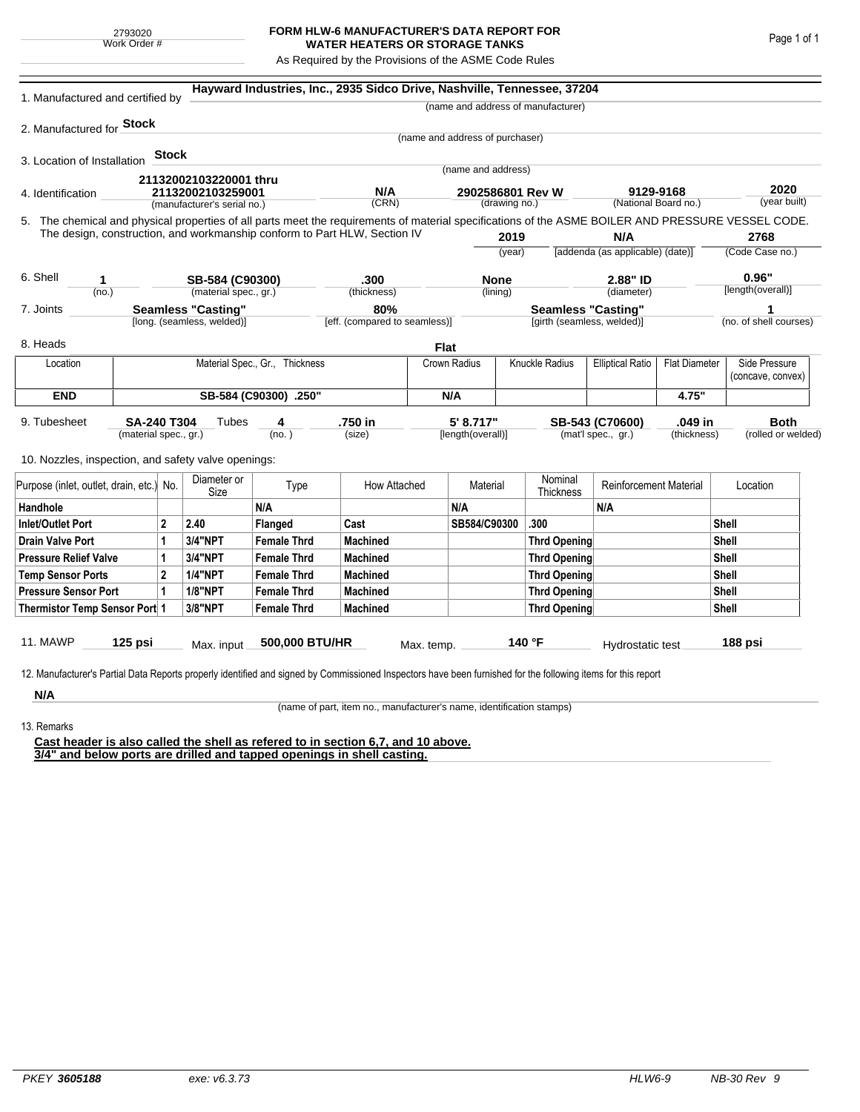## **FORM HLW-6 MANUFACTURER'S DATA REPORT FOR WATER HEATERS OR STORAGE TANKS**

As Required by the Provisions of the ASME Code Rules

| 1. Manufactured and certified by                                                                                                                                                                                                |                                                         |              |                             |                                | Hayward Industries, Inc., 2935 Sidco Drive, Nashville, Tennessee, 37204 |                                      |                                 |                     |                                                         |                                           |                      |                      |                        |  |
|---------------------------------------------------------------------------------------------------------------------------------------------------------------------------------------------------------------------------------|---------------------------------------------------------|--------------|-----------------------------|--------------------------------|-------------------------------------------------------------------------|--------------------------------------|---------------------------------|---------------------|---------------------------------------------------------|-------------------------------------------|----------------------|----------------------|------------------------|--|
|                                                                                                                                                                                                                                 |                                                         |              |                             |                                |                                                                         |                                      |                                 |                     | (name and address of manufacturer)                      |                                           |                      |                      |                        |  |
| 2. Manufactured for <b>Stock</b>                                                                                                                                                                                                |                                                         |              |                             |                                |                                                                         |                                      |                                 |                     |                                                         |                                           |                      |                      |                        |  |
|                                                                                                                                                                                                                                 |                                                         |              |                             |                                |                                                                         |                                      | (name and address of purchaser) |                     |                                                         |                                           |                      |                      |                        |  |
| 3. Location of Installation                                                                                                                                                                                                     |                                                         | <b>Stock</b> |                             |                                |                                                                         |                                      |                                 |                     |                                                         |                                           |                      |                      |                        |  |
|                                                                                                                                                                                                                                 |                                                         |              | 21132002103220001 thru      |                                |                                                                         |                                      | (name and address)              |                     |                                                         |                                           |                      |                      |                        |  |
| 21132002103259001<br>4. Identification                                                                                                                                                                                          |                                                         |              |                             | N/A<br>(CRN)                   |                                                                         | 2902586801 Rev W<br>(drawing no.)    |                                 |                     | 9129-9168<br>(National Board no.)                       |                                           | 2020<br>(year built) |                      |                        |  |
|                                                                                                                                                                                                                                 |                                                         |              | (manufacturer's serial no.) |                                |                                                                         |                                      |                                 |                     |                                                         |                                           |                      |                      |                        |  |
| 5. The chemical and physical properties of all parts meet the requirements of material specifications of the ASME BOILER AND PRESSURE VESSEL CODE.<br>The design, construction, and workmanship conform to Part HLW, Section IV |                                                         |              |                             |                                |                                                                         |                                      |                                 |                     |                                                         |                                           |                      |                      | 2768                   |  |
|                                                                                                                                                                                                                                 |                                                         |              |                             |                                |                                                                         |                                      | 2019<br>(year)                  |                     | N/A<br>[addenda (as applicable) (date)]                 |                                           | (Code Case no.)      |                      |                        |  |
|                                                                                                                                                                                                                                 |                                                         |              |                             |                                |                                                                         |                                      |                                 |                     |                                                         |                                           |                      |                      |                        |  |
| 6. Shell<br>1                                                                                                                                                                                                                   |                                                         |              | SB-584 (C90300)             |                                | .300                                                                    |                                      | <b>None</b>                     |                     |                                                         | 2.88" ID                                  |                      | 0.96"                |                        |  |
| (no.)                                                                                                                                                                                                                           |                                                         |              | (material spec., gr.)       |                                | (thickness)                                                             |                                      |                                 | (lining)            |                                                         | (diameter)                                |                      |                      | [length(overall)]      |  |
| 7. Joints                                                                                                                                                                                                                       | <b>Seamless "Casting"</b><br>[long. (seamless, welded)] |              |                             |                                |                                                                         | 80%<br>[eff. (compared to seamless)] |                                 |                     | <b>Seamless "Casting"</b><br>[girth (seamless, welded)] |                                           |                      |                      | (no. of shell courses) |  |
|                                                                                                                                                                                                                                 |                                                         |              |                             |                                |                                                                         |                                      |                                 |                     |                                                         |                                           |                      |                      |                        |  |
| 8. Heads                                                                                                                                                                                                                        |                                                         |              |                             |                                |                                                                         | <b>Flat</b>                          |                                 |                     |                                                         |                                           |                      |                      |                        |  |
| Location                                                                                                                                                                                                                        |                                                         |              |                             | Material Spec., Gr., Thickness |                                                                         |                                      |                                 | Crown Radius        |                                                         | Knuckle Radius<br><b>Elliptical Ratio</b> |                      | <b>Flat Diameter</b> | Side Pressure          |  |
|                                                                                                                                                                                                                                 |                                                         |              |                             |                                |                                                                         |                                      |                                 |                     |                                                         |                                           |                      |                      | (concave, convex)      |  |
| <b>END</b>                                                                                                                                                                                                                      | SB-584 (C90300) .250"                                   |              |                             |                                |                                                                         |                                      | N/A                             |                     |                                                         |                                           | 4.75"                |                      |                        |  |
| 9. Tubesheet                                                                                                                                                                                                                    | <b>SA-240 T304</b>                                      |              | Tubes                       | 4                              | .750 in                                                                 |                                      | 5' 8.717"                       |                     |                                                         | SB-543 (C70600)                           | .049 in              |                      | <b>Both</b>            |  |
| (material spec., gr.)                                                                                                                                                                                                           |                                                         |              | (no. )                      |                                | (size)                                                                  |                                      | [length(overall)]               |                     | (mat'l spec., gr.)<br>(thickness)                       |                                           |                      | (rolled or welded)   |                        |  |
| 10. Nozzles, inspection, and safety valve openings:                                                                                                                                                                             |                                                         |              |                             |                                |                                                                         |                                      |                                 |                     |                                                         |                                           |                      |                      |                        |  |
| Purpose (inlet, outlet, drain, etc.) No.                                                                                                                                                                                        |                                                         |              | Diameter or<br>Size         | Type                           | How Attached                                                            |                                      | Material                        |                     | Nominal<br>Thickness                                    | <b>Reinforcement Material</b>             |                      |                      | Location               |  |
| Handhole                                                                                                                                                                                                                        |                                                         |              |                             | N/A                            |                                                                         |                                      | N/A                             |                     |                                                         | N/A                                       |                      |                      |                        |  |
| $\overline{2}$<br><b>Inlet/Outlet Port</b>                                                                                                                                                                                      |                                                         | 2.40         | Flanged                     | Cast                           |                                                                         | SB584/C90300                         |                                 | .300                |                                                         |                                           | Shell                |                      |                        |  |
| <b>Drain Valve Port</b><br>1                                                                                                                                                                                                    |                                                         | 3/4"NPT      | <b>Female Thrd</b>          | <b>Machined</b>                |                                                                         |                                      |                                 | <b>Thrd Opening</b> |                                                         |                                           | Shell                |                      |                        |  |
| <b>Pressure Relief Valve</b><br>1                                                                                                                                                                                               |                                                         |              | 3/4"NPT                     | <b>Female Thrd</b>             | <b>Machined</b>                                                         |                                      |                                 |                     | <b>Thrd Opening</b>                                     |                                           |                      | Shell                |                        |  |
| $\overline{2}$<br><b>Temp Sensor Ports</b>                                                                                                                                                                                      |                                                         |              | <b>1/4"NPT</b>              | <b>Female Thrd</b>             | <b>Machined</b>                                                         |                                      |                                 | <b>Thrd Opening</b> |                                                         |                                           |                      |                      | Shell                  |  |
| <b>Pressure Sensor Port</b><br>1                                                                                                                                                                                                |                                                         |              | <b>1/8"NPT</b>              | <b>Female Thrd</b>             | <b>Machined</b>                                                         |                                      |                                 | Thrd Opening        |                                                         |                                           |                      |                      | Shell                  |  |
| Thermistor Temp Sensor Port 1                                                                                                                                                                                                   |                                                         |              | 3/8"NPT                     | <b>Female Thrd</b>             | <b>Machined</b>                                                         |                                      |                                 | Thrd Opening        |                                                         |                                           | Shell                |                      |                        |  |
|                                                                                                                                                                                                                                 |                                                         |              |                             |                                |                                                                         |                                      |                                 |                     |                                                         |                                           |                      |                      |                        |  |
| 11. MAWP                                                                                                                                                                                                                        | $125$ psi                                               |              | Max. input                  | 500,000 BTU/HR                 |                                                                         | Max. temp.                           |                                 |                     | 140 °F                                                  | Hydrostatic test                          |                      |                      | 188 psi                |  |
| 12. Manufacturer's Partial Data Reports properly identified and signed by Commissioned Inspectors have been furnished for the following items for this report                                                                   |                                                         |              |                             |                                |                                                                         |                                      |                                 |                     |                                                         |                                           |                      |                      |                        |  |
|                                                                                                                                                                                                                                 |                                                         |              |                             |                                |                                                                         |                                      |                                 |                     |                                                         |                                           |                      |                      |                        |  |
| N/A                                                                                                                                                                                                                             |                                                         |              |                             |                                |                                                                         |                                      |                                 |                     |                                                         |                                           |                      |                      |                        |  |

(name of part, item no., manufacturer's name, identification stamps)

13. Remarks

**Cast header is also called the shell as refered to in section 6,7, and 10 above. 3/4" and below ports are drilled and tapped openings in shell casting.**